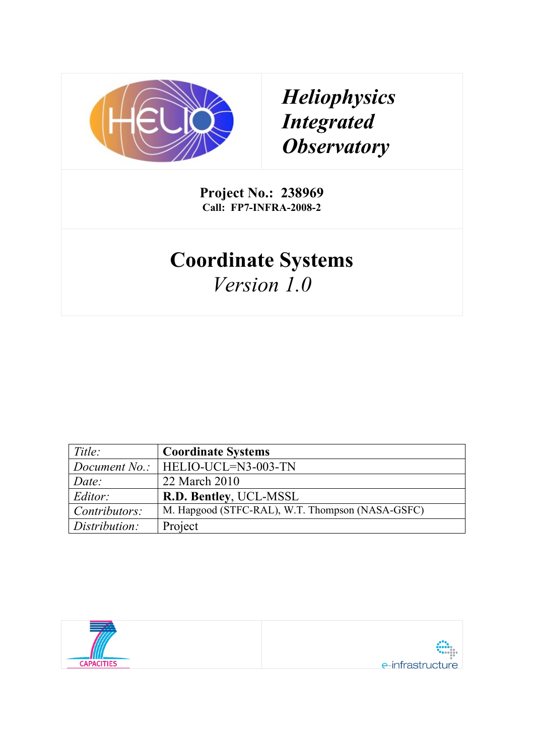

# *Heliophysics Integrated Observatory*

**Project No.: 238969 Call: FP7-INFRA-2008-2**

# **Coordinate Systems** *Version 1.0*

| Title:        | <b>Coordinate Systems</b>                        |
|---------------|--------------------------------------------------|
|               | Document No.:   HELIO-UCL=N3-003-TN              |
| Date:         | 22 March 2010                                    |
| Editor:       | R.D. Bentley, UCL-MSSL                           |
| Contributors: | M. Hapgood (STFC-RAL), W.T. Thompson (NASA-GSFC) |
| Distribution: | Project                                          |

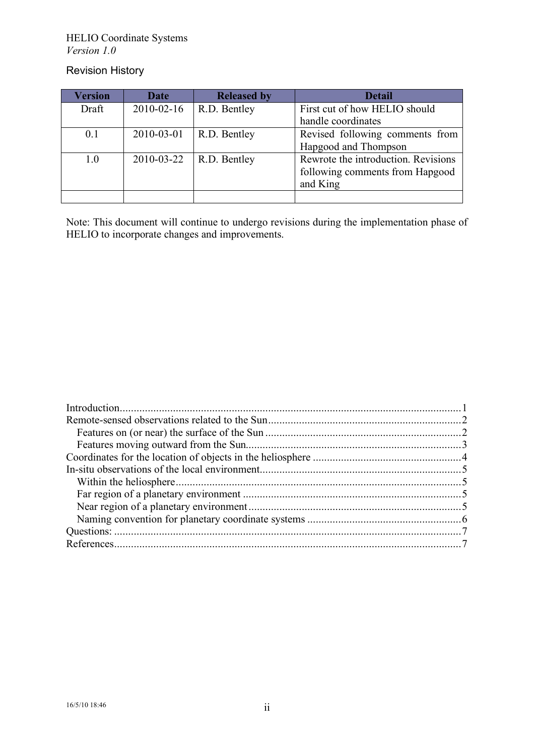#### HELIO Coordinate Systems *Version 1.0*

### Revision History

| <b>Version</b> | <b>Date</b> | <b>Released by</b> | <b>Detail</b>                       |
|----------------|-------------|--------------------|-------------------------------------|
| Draft          | 2010-02-16  | R.D. Bentley       | First cut of how HELIO should       |
|                |             |                    | handle coordinates                  |
| 0.1            | 2010-03-01  | R.D. Bentley       | Revised following comments from     |
|                |             |                    | Hapgood and Thompson                |
| 1.0            | 2010-03-22  | R.D. Bentley       | Rewrote the introduction. Revisions |
|                |             |                    | following comments from Hapgood     |
|                |             |                    | and King                            |
|                |             |                    |                                     |

Note: This document will continue to undergo revisions during the implementation phase of HELIO to incorporate changes and improvements.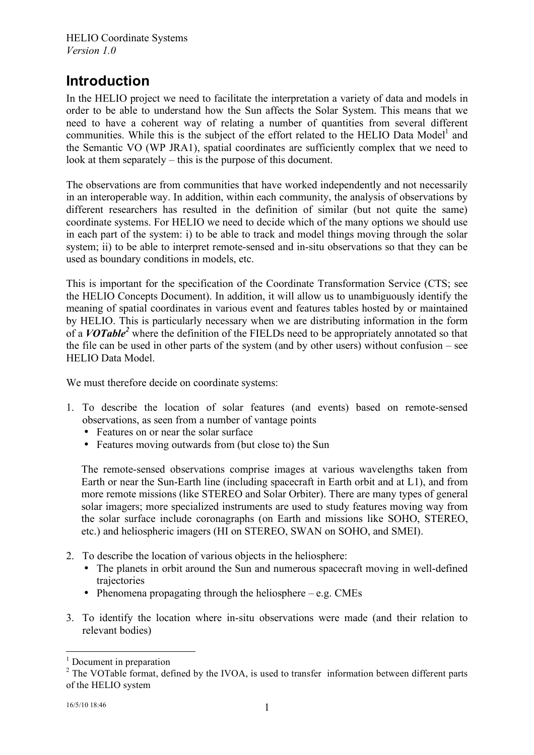# **Introduction**

In the HELIO project we need to facilitate the interpretation a variety of data and models in order to be able to understand how the Sun affects the Solar System. This means that we need to have a coherent way of relating a number of quantities from several different communities. While this is the subject of the effort related to the HELIO Data Model<sup>1</sup> and the Semantic VO (WP JRA1), spatial coordinates are sufficiently complex that we need to look at them separately – this is the purpose of this document.

The observations are from communities that have worked independently and not necessarily in an interoperable way. In addition, within each community, the analysis of observations by different researchers has resulted in the definition of similar (but not quite the same) coordinate systems. For HELIO we need to decide which of the many options we should use in each part of the system: i) to be able to track and model things moving through the solar system; ii) to be able to interpret remote-sensed and in-situ observations so that they can be used as boundary conditions in models, etc.

This is important for the specification of the Coordinate Transformation Service (CTS; see the HELIO Concepts Document). In addition, it will allow us to unambiguously identify the meaning of spatial coordinates in various event and features tables hosted by or maintained by HELIO. This is particularly necessary when we are distributing information in the form of a **VOTable<sup>2</sup>** where the definition of the FIELDs need to be appropriately annotated so that the file can be used in other parts of the system (and by other users) without confusion – see HELIO Data Model.

We must therefore decide on coordinate systems:

- 1. To describe the location of solar features (and events) based on remote-sensed observations, as seen from a number of vantage points
	- Features on or near the solar surface
	- Features moving outwards from (but close to) the Sun

The remote-sensed observations comprise images at various wavelengths taken from Earth or near the Sun-Earth line (including spacecraft in Earth orbit and at L1), and from more remote missions (like STEREO and Solar Orbiter). There are many types of general solar imagers; more specialized instruments are used to study features moving way from the solar surface include coronagraphs (on Earth and missions like SOHO, STEREO, etc.) and heliospheric imagers (HI on STEREO, SWAN on SOHO, and SMEI).

- 2. To describe the location of various objects in the heliosphere:
	- The planets in orbit around the Sun and numerous spacecraft moving in well-defined trajectories
	- Phenomena propagating through the heliosphere e.g. CMEs
- 3. To identify the location where in-situ observations were made (and their relation to relevant bodies)

 $<sup>1</sup>$  Document in preparation</sup>

<sup>&</sup>lt;sup>2</sup> The VOTable format, defined by the IVOA, is used to transfer information between different parts of the HELIO system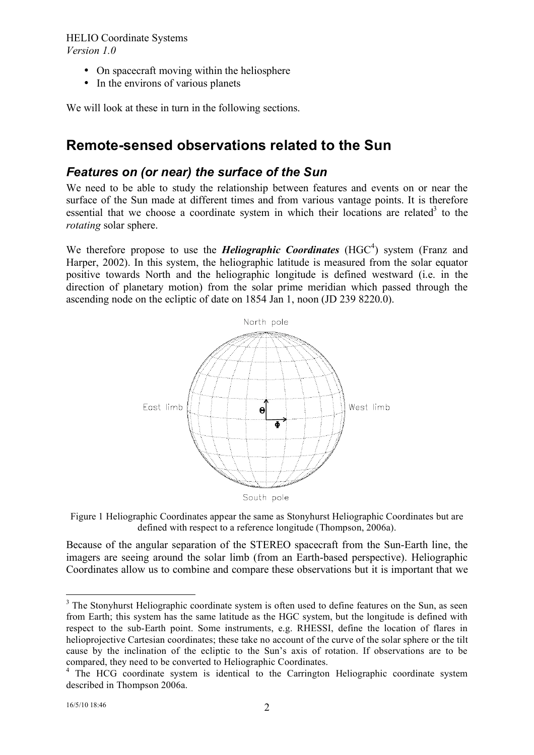- On spacecraft moving within the heliosphere
- In the environs of various planets

We will look at these in turn in the following sections.

## **Remote-sensed observations related to the Sun**

### *Features on (or near) the surface of the Sun*

We need to be able to study the relationship between features and events on or near the surface of the Sun made at different times and from various vantage points. It is therefore essential that we choose a coordinate system in which their locations are related<sup>3</sup> to the *rotating* solar sphere.

We therefore propose to use the *Heliographic Coordinates* (HGC<sup>4</sup>) system (Franz and Harper, 2002). In this system, the heliographic latitude is measured from the solar equator positive towards North and the heliographic longitude is defined westward (i.e. in the direction of planetary motion) from the solar prime meridian which passed through the ascending node on the ecliptic of date on 1854 Jan 1, noon (JD 239 8220.0).



Figure 1 Heliographic Coordinates appear the same as Stonyhurst Heliographic Coordinates but are defined with respect to a reference longitude (Thompson, 2006a).

Because of the angular separation of the STEREO spacecraft from the Sun-Earth line, the imagers are seeing around the solar limb (from an Earth-based perspective). Heliographic Coordinates allow us to combine and compare these observations but it is important that we

<sup>&</sup>lt;sup>3</sup> The Stonyhurst Heliographic coordinate system is often used to define features on the Sun, as seen from Earth; this system has the same latitude as the HGC system, but the longitude is defined with respect to the sub-Earth point. Some instruments, e.g. RHESSI, define the location of flares in helioprojective Cartesian coordinates; these take no account of the curve of the solar sphere or the tilt cause by the inclination of the ecliptic to the Sun's axis of rotation. If observations are to be compared, they need to be converted to Heliographic Coordinates. <sup>4</sup> The HCG coordinate system is identical to the Carrington Heliographic coordinate system

described in Thompson 2006a.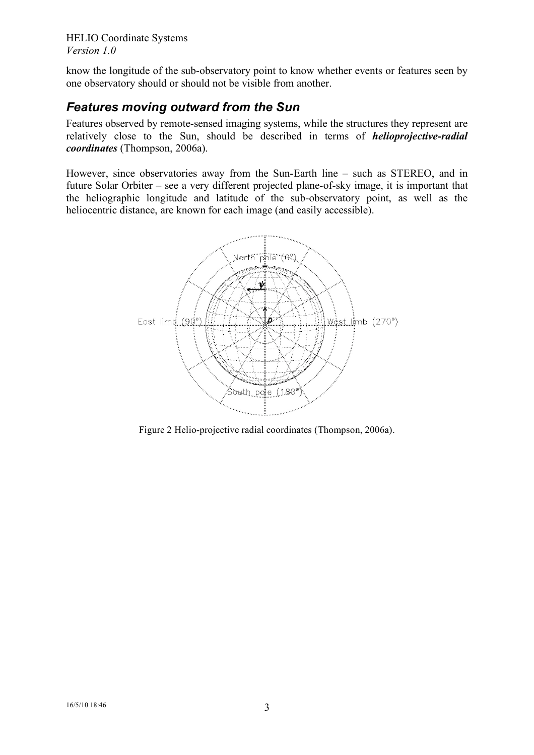know the longitude of the sub-observatory point to know whether events or features seen by one observatory should or should not be visible from another.

## *Features moving outward from the Sun*

Features observed by remote-sensed imaging systems, while the structures they represent are relatively close to the Sun, should be described in terms of *helioprojective-radial coordinates* (Thompson, 2006a).

However, since observatories away from the Sun-Earth line – such as STEREO, and in future Solar Orbiter – see a very different projected plane-of-sky image, it is important that the heliographic longitude and latitude of the sub-observatory point, as well as the heliocentric distance, are known for each image (and easily accessible).



Figure 2 Helio-projective radial coordinates (Thompson, 2006a).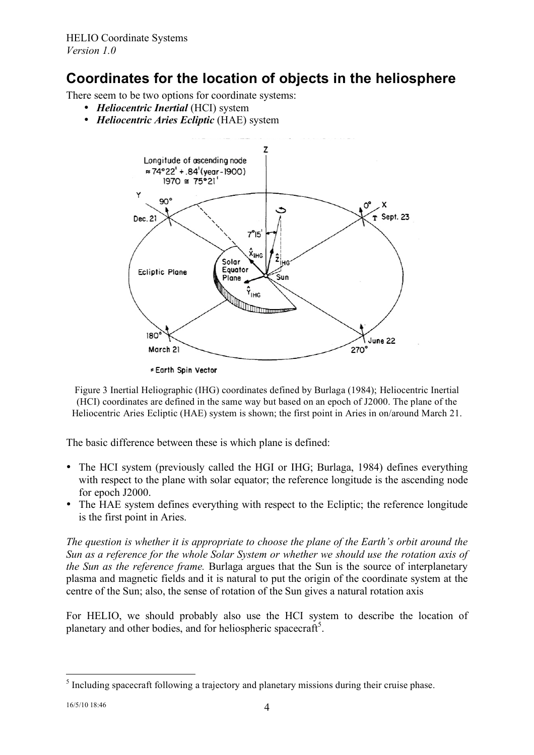## **Coordinates for the location of objects in the heliosphere**

There seem to be two options for coordinate systems:

- *Heliocentric Inertial* (HCI) system
- *Heliocentric Aries Ecliptic* (HAE) system



≠ Earth Spin Vector

Figure 3 Inertial Heliographic (IHG) coordinates defined by Burlaga (1984); Heliocentric Inertial (HCI) coordinates are defined in the same way but based on an epoch of J2000. The plane of the Heliocentric Aries Ecliptic (HAE) system is shown; the first point in Aries in on/around March 21.

The basic difference between these is which plane is defined:

- The HCI system (previously called the HGI or IHG; Burlaga, 1984) defines everything with respect to the plane with solar equator; the reference longitude is the ascending node for epoch J2000.
- The HAE system defines everything with respect to the Ecliptic; the reference longitude is the first point in Aries.

*The question is whether it is appropriate to choose the plane of the Earth's orbit around the Sun as a reference for the whole Solar System or whether we should use the rotation axis of the Sun as the reference frame.* Burlaga argues that the Sun is the source of interplanetary plasma and magnetic fields and it is natural to put the origin of the coordinate system at the centre of the Sun; also, the sense of rotation of the Sun gives a natural rotation axis

For HELIO, we should probably also use the HCI system to describe the location of planetary and other bodies, and for heliospheric spacecraft<sup>5</sup>.

<sup>&</sup>lt;sup>5</sup> Including spacecraft following a trajectory and planetary missions during their cruise phase.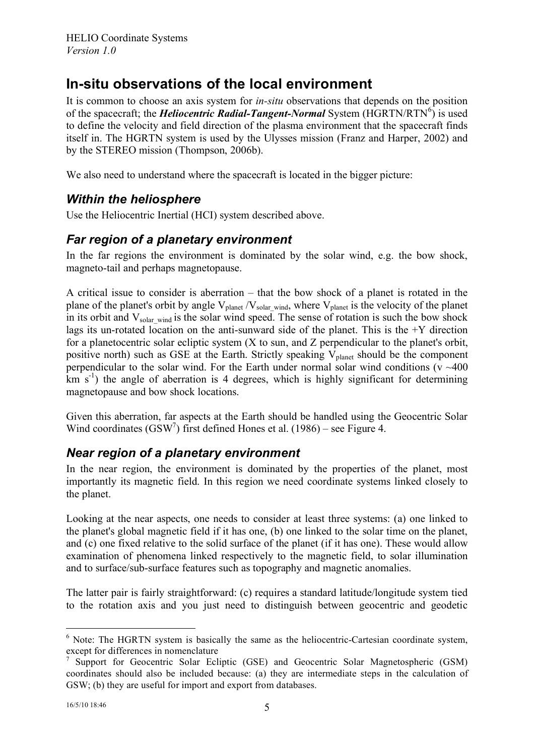# **In-situ observations of the local environment**

It is common to choose an axis system for *in-situ* observations that depends on the position of the spacecraft; the *Heliocentric Radial-Tangent-Normal* System (HGRTN/RTN<sup>6</sup>) is used to define the velocity and field direction of the plasma environment that the spacecraft finds itself in. The HGRTN system is used by the Ulysses mission (Franz and Harper, 2002) and by the STEREO mission (Thompson, 2006b).

We also need to understand where the spacecraft is located in the bigger picture:

## *Within the heliosphere*

Use the Heliocentric Inertial (HCI) system described above.

## *Far region of a planetary environment*

In the far regions the environment is dominated by the solar wind, e.g. the bow shock, magneto-tail and perhaps magnetopause.

A critical issue to consider is aberration – that the bow shock of a planet is rotated in the plane of the planet's orbit by angle  $V_{\text{planet}}/V_{\text{solar wind}}$ , where  $V_{\text{planet}}$  is the velocity of the planet in its orbit and  $V_{solar wind}$  is the solar wind speed. The sense of rotation is such the bow shock lags its un-rotated location on the anti-sunward side of the planet. This is the  $+Y$  direction for a planetocentric solar ecliptic system (X to sun, and Z perpendicular to the planet's orbit, positive north) such as GSE at the Earth. Strictly speaking  $V_{\text{planet}}$  should be the component perpendicular to the solar wind. For the Earth under normal solar wind conditions ( $v \sim 400$ )  $km s<sup>-1</sup>$ ) the angle of aberration is 4 degrees, which is highly significant for determining magnetopause and bow shock locations.

Given this aberration, far aspects at the Earth should be handled using the Geocentric Solar Wind coordinates  $(GSW^7)$  first defined Hones et al. (1986) – see Figure 4.

## *Near region of a planetary environment*

In the near region, the environment is dominated by the properties of the planet, most importantly its magnetic field. In this region we need coordinate systems linked closely to the planet.

Looking at the near aspects, one needs to consider at least three systems: (a) one linked to the planet's global magnetic field if it has one, (b) one linked to the solar time on the planet, and (c) one fixed relative to the solid surface of the planet (if it has one). These would allow examination of phenomena linked respectively to the magnetic field, to solar illumination and to surface/sub-surface features such as topography and magnetic anomalies.

The latter pair is fairly straightforward: (c) requires a standard latitude/longitude system tied to the rotation axis and you just need to distinguish between geocentric and geodetic

 $6$  Note: The HGRTN system is basically the same as the heliocentric-Cartesian coordinate system, except for differences in nomenclature

<sup>7</sup> Support for Geocentric Solar Ecliptic (GSE) and Geocentric Solar Magnetospheric (GSM) coordinates should also be included because: (a) they are intermediate steps in the calculation of GSW; (b) they are useful for import and export from databases.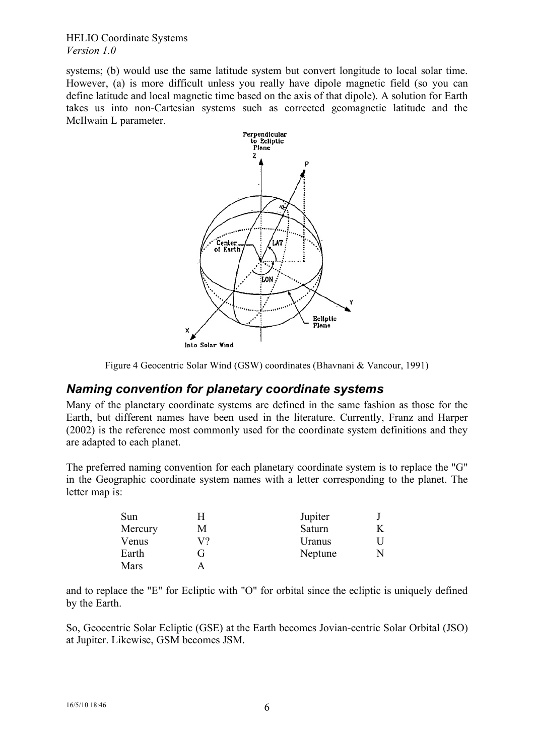HELIO Coordinate Systems *Version 1.0*

systems; (b) would use the same latitude system but convert longitude to local solar time. However, (a) is more difficult unless you really have dipole magnetic field (so you can define latitude and local magnetic time based on the axis of that dipole). A solution for Earth takes us into non-Cartesian systems such as corrected geomagnetic latitude and the McIlwain L parameter.



Figure 4 Geocentric Solar Wind (GSW) coordinates (Bhavnani & Vancour, 1991)

### *Naming convention for planetary coordinate systems*

Many of the planetary coordinate systems are defined in the same fashion as those for the Earth, but different names have been used in the literature. Currently, Franz and Harper (2002) is the reference most commonly used for the coordinate system definitions and they are adapted to each planet.

The preferred naming convention for each planetary coordinate system is to replace the "G" in the Geographic coordinate system names with a letter corresponding to the planet. The letter map is:

| Sun     | н  | Jupiter |  |
|---------|----|---------|--|
| Mercury | M  | Saturn  |  |
| Venus   | V? | Uranus  |  |
| Earth   | (ì | Neptune |  |
| Mars    |    |         |  |

and to replace the "E" for Ecliptic with "O" for orbital since the ecliptic is uniquely defined by the Earth.

So, Geocentric Solar Ecliptic (GSE) at the Earth becomes Jovian-centric Solar Orbital (JSO) at Jupiter. Likewise, GSM becomes JSM.